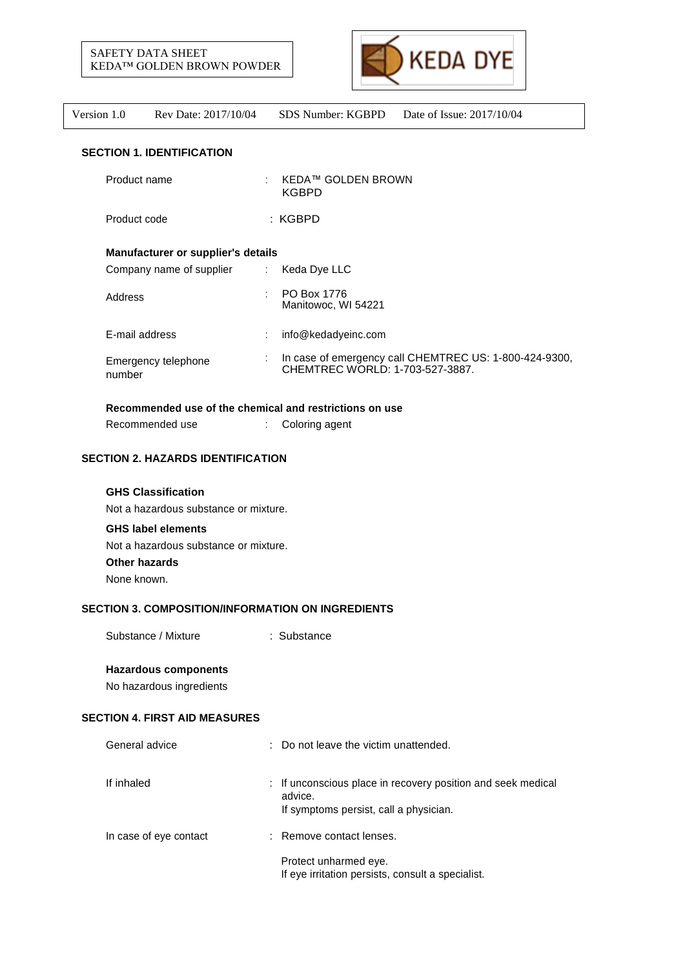



#### **SECTION 1. IDENTIFICATION**

|                                    | Product name                  |    | <b>KEDA™ GOLDEN BROWN</b><br><b>KGBPD</b>                                                 |
|------------------------------------|-------------------------------|----|-------------------------------------------------------------------------------------------|
|                                    | Product code                  |    | : KGBPD                                                                                   |
| Manufacturer or supplier's details |                               |    |                                                                                           |
|                                    | Company name of supplier      | ÷. | Keda Dye LLC                                                                              |
|                                    | Address                       |    | PO Box 1776<br>Manitowoc, WI 54221                                                        |
|                                    | E-mail address                |    | info@kedadyeinc.com                                                                       |
|                                    | Emergency telephone<br>number |    | In case of emergency call CHEMTREC US: 1-800-424-9300,<br>CHEMTREC WORLD: 1-703-527-3887. |

# **Recommended use of the chemical and restrictions on use**

Recommended use : Coloring agent

# **SECTION 2. HAZARDS IDENTIFICATION**

# **GHS Classification**

Not a hazardous substance or mixture.

# **GHS label elements**

Not a hazardous substance or mixture. **Other hazards**

None known.

# **SECTION 3. COMPOSITION/INFORMATION ON INGREDIENTS**

Substance / Mixture : Substance

#### **Hazardous components**

No hazardous ingredients

# **SECTION 4. FIRST AID MEASURES**

| General advice         | : Do not leave the victim unattended.                                                                             |
|------------------------|-------------------------------------------------------------------------------------------------------------------|
| If inhaled             | : If unconscious place in recovery position and seek medical<br>advice.<br>If symptoms persist, call a physician. |
| In case of eye contact | : Remove contact lenses.                                                                                          |
|                        | Protect unharmed eye.<br>If eye irritation persists, consult a specialist.                                        |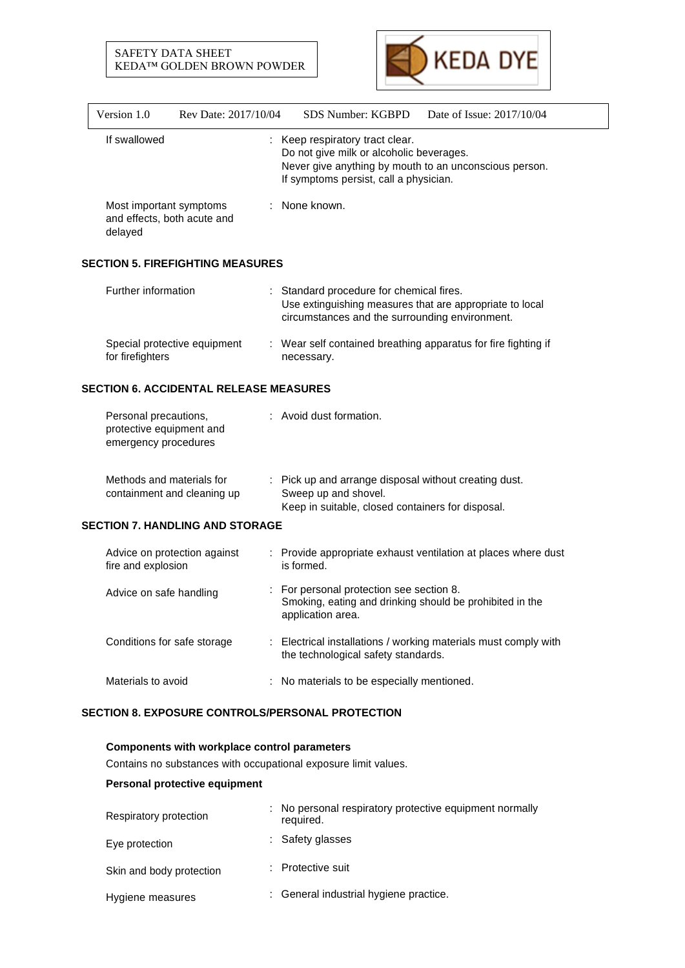# SAFETY DATA SHEET KEDA™ GOLDEN BROWN POWDER



| Rev Date: 2017/10/04                                                      | SDS Number: KGBPD<br>Date of Issue: 2017/10/04<br>: Keep respiratory tract clear.<br>Do not give milk or alcoholic beverages.<br>Never give anything by mouth to an unconscious person. |
|---------------------------------------------------------------------------|-----------------------------------------------------------------------------------------------------------------------------------------------------------------------------------------|
|                                                                           |                                                                                                                                                                                         |
|                                                                           | If symptoms persist, call a physician.                                                                                                                                                  |
| Most important symptoms<br>and effects, both acute and                    | : None known.                                                                                                                                                                           |
| <b>SECTION 5. FIREFIGHTING MEASURES</b>                                   |                                                                                                                                                                                         |
|                                                                           | : Standard procedure for chemical fires.<br>Use extinguishing measures that are appropriate to local<br>circumstances and the surrounding environment.                                  |
| Special protective equipment                                              | Wear self contained breathing apparatus for fire fighting if<br>necessary.                                                                                                              |
| <b>SECTION 6. ACCIDENTAL RELEASE MEASURES</b>                             |                                                                                                                                                                                         |
| Personal precautions,<br>protective equipment and<br>emergency procedures | : Avoid dust formation.                                                                                                                                                                 |
| Methods and materials for<br>containment and cleaning up                  | : Pick up and arrange disposal without creating dust.<br>Sweep up and shovel.<br>Keep in suitable, closed containers for disposal.                                                      |
| <b>SECTION 7. HANDLING AND STORAGE</b>                                    |                                                                                                                                                                                         |
| Advice on protection against                                              | : Provide appropriate exhaust ventilation at places where dust<br>is formed.                                                                                                            |
| Advice on safe handling                                                   | For personal protection see section 8.<br>Smoking, eating and drinking should be prohibited in the<br>application area.                                                                 |
| Conditions for safe storage                                               | : Electrical installations / working materials must comply with<br>the technological safety standards.                                                                                  |
|                                                                           | : No materials to be especially mentioned.                                                                                                                                              |
|                                                                           | <b>SECTION 8. EXPOSURE CONTROLS/PERSONAL PROTECTION</b>                                                                                                                                 |

# **Components with workplace control parameters**

Contains no substances with occupational exposure limit values.

# **Personal protective equipment**

| Respiratory protection   | : No personal respiratory protective equipment normally<br>required. |
|--------------------------|----------------------------------------------------------------------|
| Eye protection           | : Safety glasses                                                     |
| Skin and body protection | : Protective suit                                                    |
| Hygiene measures         | : General industrial hygiene practice.                               |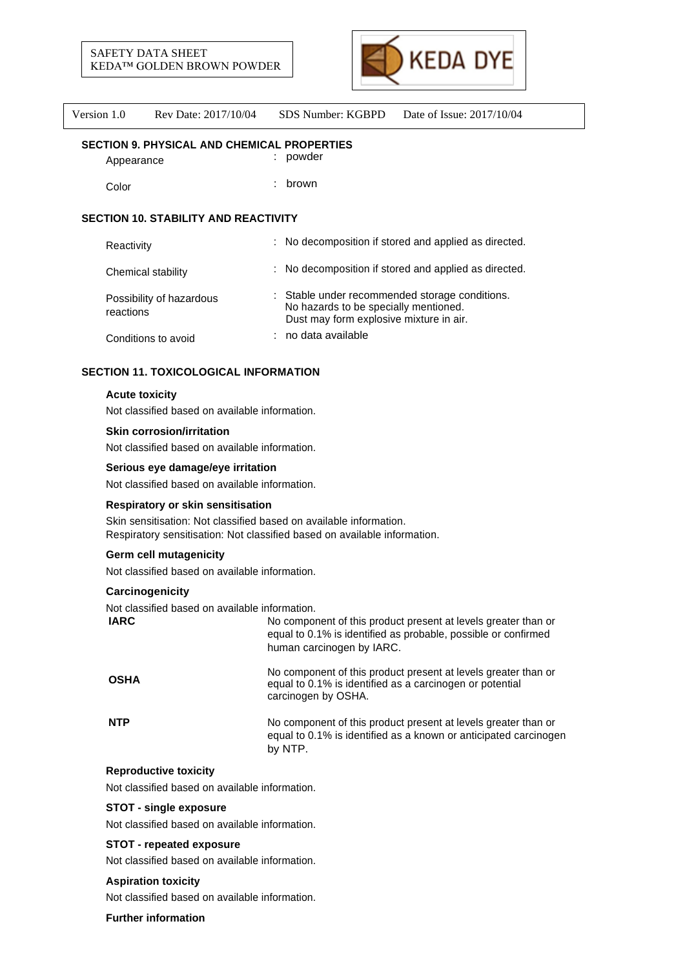

#### **SECTION 9. PHYSICAL AND CHEMICAL PROPERTIES**

Appearance : powder

Color : brown

# **SECTION 10. STABILITY AND REACTIVITY**

| Reactivity                            | : No decomposition if stored and applied as directed.                                                                              |
|---------------------------------------|------------------------------------------------------------------------------------------------------------------------------------|
| Chemical stability                    | : No decomposition if stored and applied as directed.                                                                              |
| Possibility of hazardous<br>reactions | : Stable under recommended storage conditions.<br>No hazards to be specially mentioned.<br>Dust may form explosive mixture in air. |
| Conditions to avoid                   | no data available                                                                                                                  |

# **SECTION 11. TOXICOLOGICAL INFORMATION**

#### **Acute toxicity**

Not classified based on available information.

#### **Skin corrosion/irritation**

Not classified based on available information.

#### **Serious eye damage/eye irritation**

Not classified based on available information.

# **Respiratory or skin sensitisation**

Skin sensitisation: Not classified based on available information. Respiratory sensitisation: Not classified based on available information.

# **Germ cell mutagenicity**

Not classified based on available information.

# **Carcinogenicity**

Not classified based on available information.

| <b>IARC</b> | No component of this product present at levels greater than or<br>equal to 0.1% is identified as probable, possible or confirmed<br>human carcinogen by IARC. |
|-------------|---------------------------------------------------------------------------------------------------------------------------------------------------------------|
| <b>OSHA</b> | No component of this product present at levels greater than or<br>equal to 0.1% is identified as a carcinogen or potential<br>carcinogen by OSHA.             |
| <b>NTP</b>  | No component of this product present at levels greater than or<br>equal to 0.1% is identified as a known or anticipated carcinogen<br>by NTP.                 |

# **Reproductive toxicity**

Not classified based on available information.

# **STOT - single exposure**

Not classified based on available information.

#### **STOT - repeated exposure**

Not classified based on available information.

# **Aspiration toxicity**

Not classified based on available information.

#### **Further information**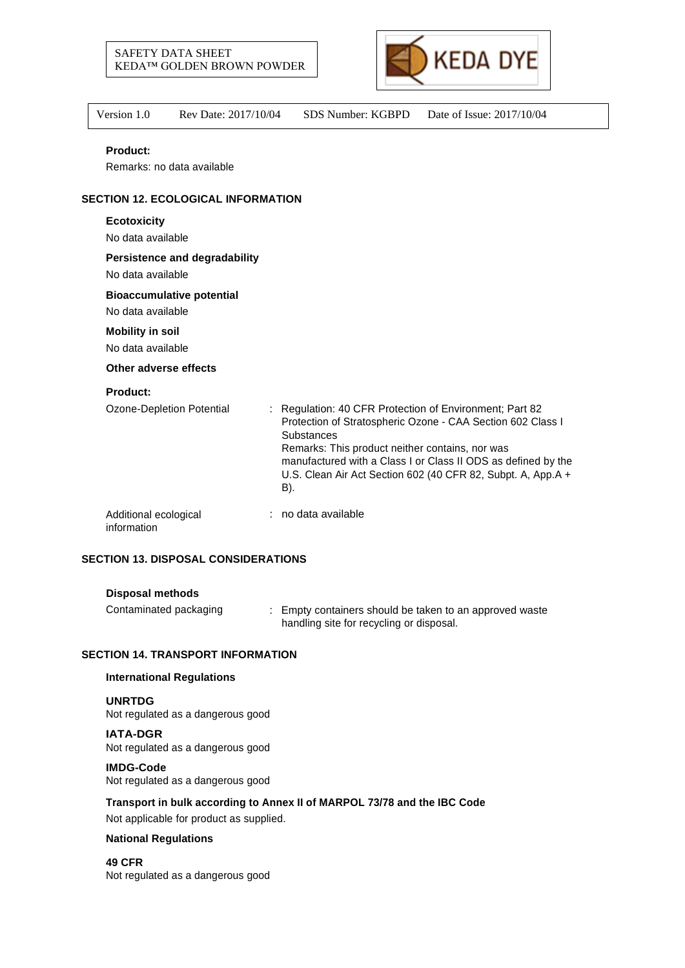



| Product:                                                  |                                                                                                                                                                                                                                                                                                                          |
|-----------------------------------------------------------|--------------------------------------------------------------------------------------------------------------------------------------------------------------------------------------------------------------------------------------------------------------------------------------------------------------------------|
| Remarks: no data available                                |                                                                                                                                                                                                                                                                                                                          |
| <b>SECTION 12. ECOLOGICAL INFORMATION</b>                 |                                                                                                                                                                                                                                                                                                                          |
| <b>Ecotoxicity</b>                                        |                                                                                                                                                                                                                                                                                                                          |
| No data available                                         |                                                                                                                                                                                                                                                                                                                          |
| <b>Persistence and degradability</b><br>No data available |                                                                                                                                                                                                                                                                                                                          |
| <b>Bioaccumulative potential</b>                          |                                                                                                                                                                                                                                                                                                                          |
| No data available                                         |                                                                                                                                                                                                                                                                                                                          |
| <b>Mobility in soil</b>                                   |                                                                                                                                                                                                                                                                                                                          |
| No data available                                         |                                                                                                                                                                                                                                                                                                                          |
| Other adverse effects                                     |                                                                                                                                                                                                                                                                                                                          |
| <b>Product:</b>                                           |                                                                                                                                                                                                                                                                                                                          |
| Ozone-Depletion Potential                                 | : Regulation: 40 CFR Protection of Environment; Part 82<br>Protection of Stratospheric Ozone - CAA Section 602 Class I<br>Substances<br>Remarks: This product neither contains, nor was<br>manufactured with a Class I or Class II ODS as defined by the<br>U.S. Clean Air Act Section 602 (40 CFR 82, Subpt. A, App.A + |

| Additional ecological | no data available |
|-----------------------|-------------------|
| information           |                   |

B).

# **SECTION 13. DISPOSAL CONSIDERATIONS**

#### **Disposal methods**

Contaminated packaging : Empty containers should be taken to an approved waste handling site for recycling or disposal.

#### **SECTION 14. TRANSPORT INFORMATION**

#### **International Regulations**

**UNRTDG** Not regulated as a dangerous good

**IATA-DGR** Not regulated as a dangerous good

#### **IMDG-Code**

Not regulated as a dangerous good

**Transport in bulk according to Annex II of MARPOL 73/78 and the IBC Code**

Not applicable for product as supplied.

#### **National Regulations**

**49 CFR** Not regulated as a dangerous good